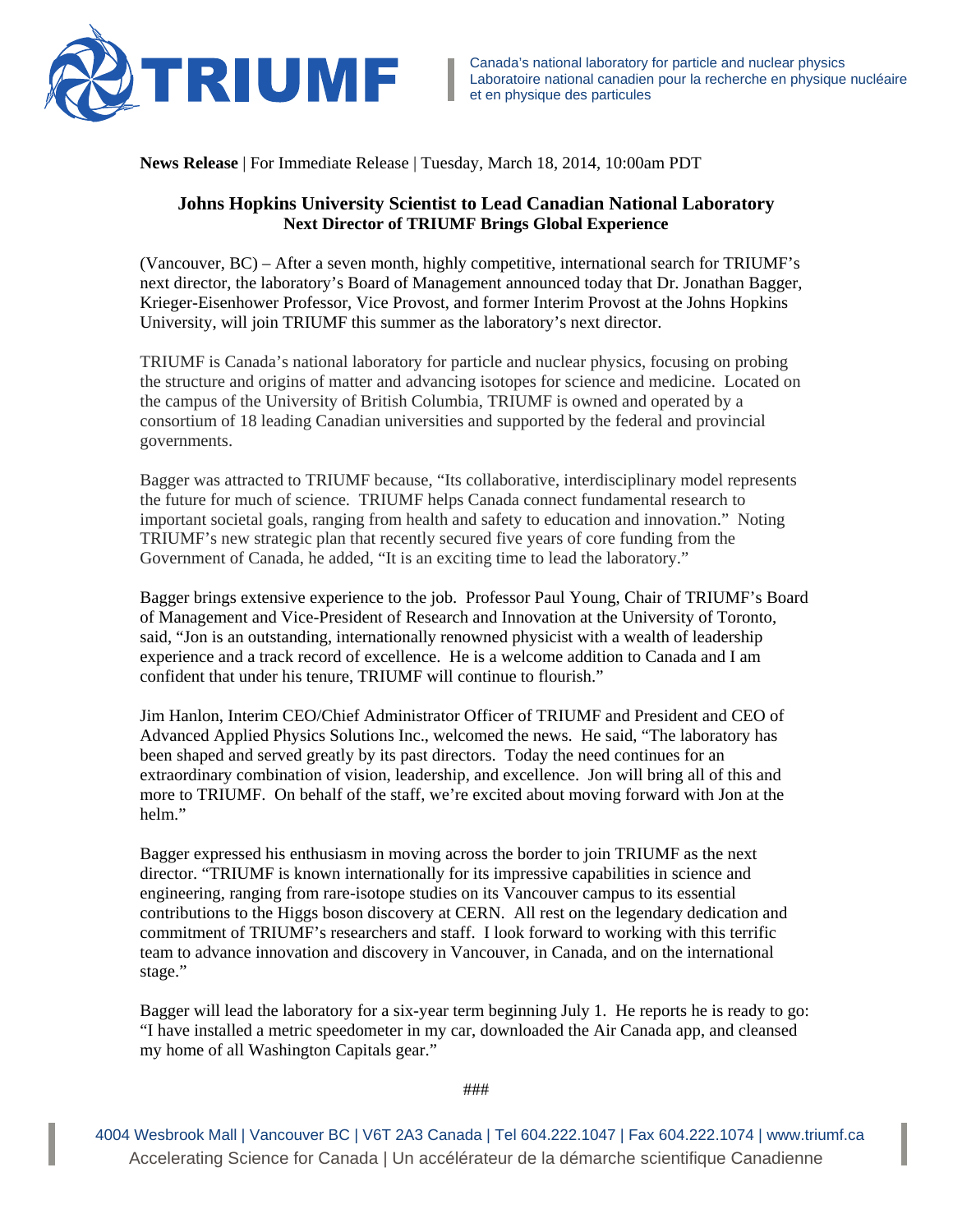

**News Release** | For Immediate Release | Tuesday, March 18, 2014, 10:00am PDT

## **Johns Hopkins University Scientist to Lead Canadian National Laboratory Next Director of TRIUMF Brings Global Experience**

(Vancouver, BC) – After a seven month, highly competitive, international search for TRIUMF's next director, the laboratory's Board of Management announced today that Dr. Jonathan Bagger, Krieger-Eisenhower Professor, Vice Provost, and former Interim Provost at the Johns Hopkins University, will join TRIUMF this summer as the laboratory's next director.

TRIUMF is Canada's national laboratory for particle and nuclear physics, focusing on probing the structure and origins of matter and advancing isotopes for science and medicine. Located on the campus of the University of British Columbia, TRIUMF is owned and operated by a consortium of 18 leading Canadian universities and supported by the federal and provincial governments.

Bagger was attracted to TRIUMF because, "Its collaborative, interdisciplinary model represents the future for much of science. TRIUMF helps Canada connect fundamental research to important societal goals, ranging from health and safety to education and innovation." Noting TRIUMF's new strategic plan that recently secured five years of core funding from the Government of Canada, he added, "It is an exciting time to lead the laboratory."

Bagger brings extensive experience to the job. Professor Paul Young, Chair of TRIUMF's Board of Management and Vice-President of Research and Innovation at the University of Toronto, said, "Jon is an outstanding, internationally renowned physicist with a wealth of leadership experience and a track record of excellence. He is a welcome addition to Canada and I am confident that under his tenure, TRIUMF will continue to flourish."

Jim Hanlon, Interim CEO/Chief Administrator Officer of TRIUMF and President and CEO of Advanced Applied Physics Solutions Inc., welcomed the news. He said, "The laboratory has been shaped and served greatly by its past directors. Today the need continues for an extraordinary combination of vision, leadership, and excellence. Jon will bring all of this and more to TRIUMF. On behalf of the staff, we're excited about moving forward with Jon at the helm."

Bagger expressed his enthusiasm in moving across the border to join TRIUMF as the next director. "TRIUMF is known internationally for its impressive capabilities in science and engineering, ranging from rare-isotope studies on its Vancouver campus to its essential contributions to the Higgs boson discovery at CERN. All rest on the legendary dedication and commitment of TRIUMF's researchers and staff. I look forward to working with this terrific team to advance innovation and discovery in Vancouver, in Canada, and on the international stage."

Bagger will lead the laboratory for a six-year term beginning July 1. He reports he is ready to go: "I have installed a metric speedometer in my car, downloaded the Air Canada app, and cleansed my home of all Washington Capitals gear."

4004 Wesbrook Mall | Vancouver BC | V6T 2A3 Canada | Tel 604.222.1047 | Fax 604.222.1074 | www.triumf.ca Accelerating Science for Canada | Un accélérateur de la démarche scientifique Canadienne